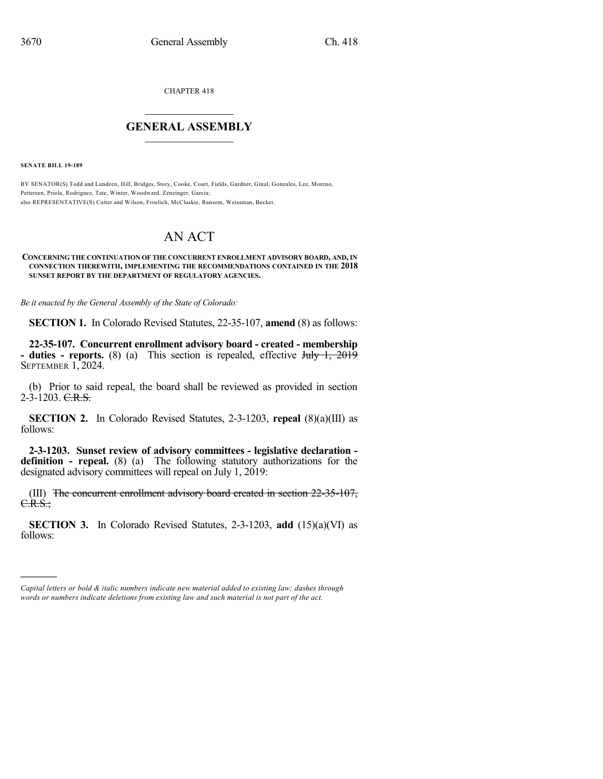CHAPTER 418

## $\overline{\phantom{a}}$  . The set of the set of the set of the set of the set of the set of the set of the set of the set of the set of the set of the set of the set of the set of the set of the set of the set of the set of the set o **GENERAL ASSEMBLY**  $\frac{1}{\sqrt{2}}$

**SENATE BILL 19-189**

)))))

BY SENATOR(S) Todd and Lundeen, Hill, Bridges, Story, Cooke, Court, Fields, Gardner, Ginal, Gonzales, Lee, Moreno, Pettersen, Priola, Rodriguez, Tate, Winter, Woodward, Zenzinger, Garcia; also REPRESENTATIVE(S) Cutter and Wilson, Froelich, McCluskie, Ransom, Weissman, Becker.

## AN ACT

## **CONCERNING THE CONTINUATION OF THE CONCURRENT ENROLLMENT ADVISORY BOARD, AND,IN CONNECTION THEREWITH, IMPLEMENTING THE RECOMMENDATIONS CONTAINED IN THE 2018 SUNSET REPORT BY THE DEPARTMENT OF REGULATORY AGENCIES.**

*Be it enacted by the General Assembly of the State of Colorado:*

**SECTION 1.** In Colorado Revised Statutes, 22-35-107, **amend** (8) as follows:

**22-35-107. Concurrent enrollment advisory board - created - membership - duties - reports.** (8) (a) This section is repealed, effective July 1, 2019 SEPTEMBER 1, 2024.

(b) Prior to said repeal, the board shall be reviewed as provided in section 2-3-1203. C.R.S.

**SECTION 2.** In Colorado Revised Statutes, 2-3-1203, **repeal** (8)(a)(III) as follows:

**2-3-1203. Sunset review of advisory committees - legislative declaration definition - repeal.** (8) (a) The following statutory authorizations for the designated advisory committees will repeal on July 1, 2019:

(III) The concurrent enrollment advisory board created in section 22-35-107, C.R.S.;

**SECTION 3.** In Colorado Revised Statutes, 2-3-1203, **add** (15)(a)(VI) as follows:

*Capital letters or bold & italic numbers indicate new material added to existing law; dashes through words or numbers indicate deletions from existing law and such material is not part of the act.*